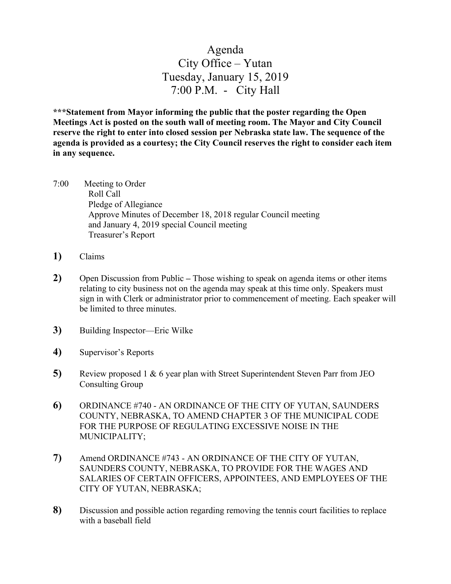## Agenda City Office – Yutan Tuesday, January 15, 2019 7:00 P.M. - City Hall

**\*\*\*Statement from Mayor informing the public that the poster regarding the Open Meetings Act is posted on the south wall of meeting room. The Mayor and City Council reserve the right to enter into closed session per Nebraska state law. The sequence of the agenda is provided as a courtesy; the City Council reserves the right to consider each item in any sequence.**

- 7:00 Meeting to Order Roll Call Pledge of Allegiance Approve Minutes of December 18, 2018 regular Council meeting and January 4, 2019 special Council meeting Treasurer's Report
- **1)** Claims
- **2)** Open Discussion from Public **–** Those wishing to speak on agenda items or other items relating to city business not on the agenda may speak at this time only. Speakers must sign in with Clerk or administrator prior to commencement of meeting. Each speaker will be limited to three minutes.
- **3)** Building Inspector—Eric Wilke
- **4)** Supervisor's Reports
- **5)** Review proposed 1 & 6 year plan with Street Superintendent Steven Parr from JEO Consulting Group
- **6)** ORDINANCE #740 AN ORDINANCE OF THE CITY OF YUTAN, SAUNDERS COUNTY, NEBRASKA, TO AMEND CHAPTER 3 OF THE MUNICIPAL CODE FOR THE PURPOSE OF REGULATING EXCESSIVE NOISE IN THE MUNICIPALITY;
- **7)** Amend ORDINANCE #743 AN ORDINANCE OF THE CITY OF YUTAN, SAUNDERS COUNTY, NEBRASKA, TO PROVIDE FOR THE WAGES AND SALARIES OF CERTAIN OFFICERS, APPOINTEES, AND EMPLOYEES OF THE CITY OF YUTAN, NEBRASKA;
- **8)** Discussion and possible action regarding removing the tennis court facilities to replace with a baseball field